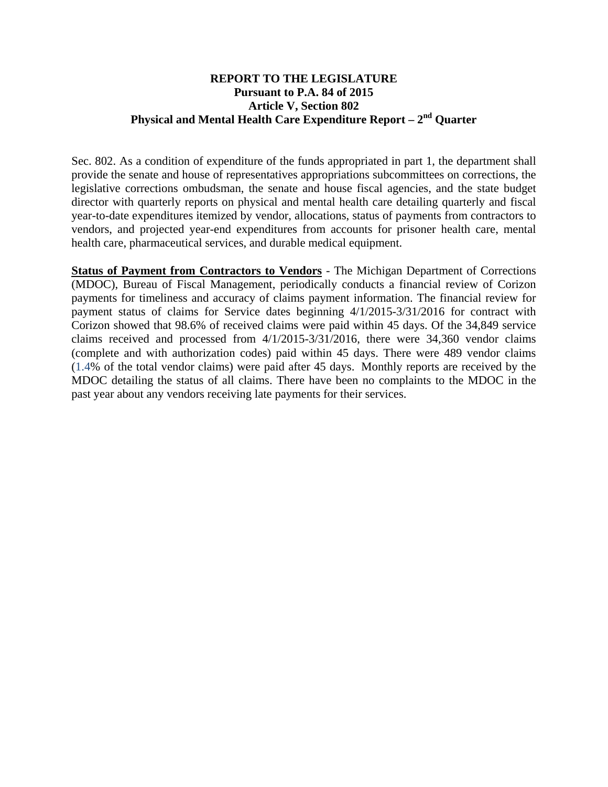## **REPORT TO THE LEGISLATURE Pursuant to P.A. 84 of 2015 Article V, Section 802 Physical and Mental Health Care Expenditure Report – 2nd Quarter**

Sec. 802. As a condition of expenditure of the funds appropriated in part 1, the department shall provide the senate and house of representatives appropriations subcommittees on corrections, the legislative corrections ombudsman, the senate and house fiscal agencies, and the state budget director with quarterly reports on physical and mental health care detailing quarterly and fiscal year-to-date expenditures itemized by vendor, allocations, status of payments from contractors to vendors, and projected year-end expenditures from accounts for prisoner health care, mental health care, pharmaceutical services, and durable medical equipment.

**Status of Payment from Contractors to Vendors** - The Michigan Department of Corrections (MDOC), Bureau of Fiscal Management, periodically conducts a financial review of Corizon payments for timeliness and accuracy of claims payment information. The financial review for payment status of claims for Service dates beginning 4/1/2015-3/31/2016 for contract with Corizon showed that 98.6% of received claims were paid within 45 days. Of the 34,849 service claims received and processed from 4/1/2015-3/31/2016, there were 34,360 vendor claims (complete and with authorization codes) paid within 45 days. There were 489 vendor claims (1.4% of the total vendor claims) were paid after 45 days. Monthly reports are received by the MDOC detailing the status of all claims. There have been no complaints to the MDOC in the past year about any vendors receiving late payments for their services.